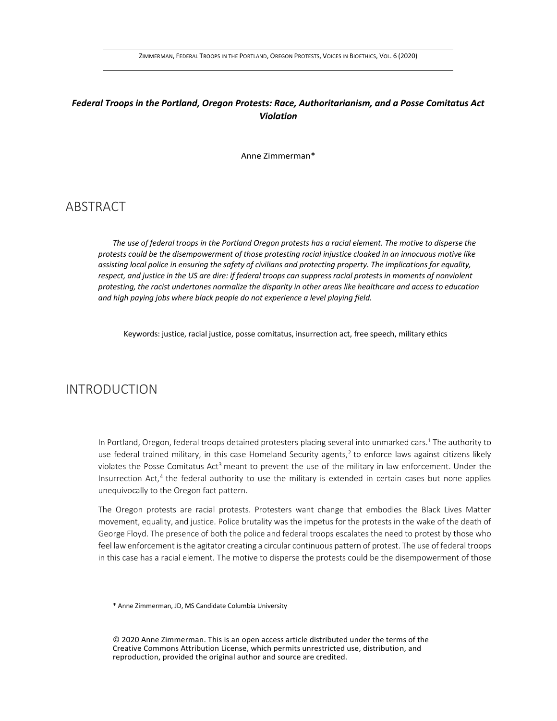#### *Federal Troops in the Portland, Oregon Protests: Race, Authoritarianism, and a Posse Comitatus Act Violation*

Anne Zimmerman\*

# **ABSTRACT**

*The use of federal troops in the Portland Oregon protests has a racial element. The motive to disperse the protests could be the disempowerment of those protesting racial injustice cloaked in an innocuous motive like assisting local police in ensuring the safety of civilians and protecting property. The implications for equality, respect, and justice in the US are dire: if federal troops can suppress racial protests in moments of nonviolent protesting, the racist undertones normalize the disparity in other areas like healthcare and access to education and high paying jobs where black people do not experience a level playing field.* 

Keywords: justice, racial justice, posse comitatus, insurrection act, free speech, military ethics

# INTRODUCTION

In Portland, Oregon, federal troops detained protesters placing several into unmarked cars.<sup>1</sup> The authority to use federal trained military, in this case Homeland Security agents,<sup>2</sup> to enforce laws against citizens likely violates the Posse Comitatus Act<sup>3</sup> meant to prevent the use of the military in law enforcement. Under the Insurrection Act,<sup>4</sup> the federal authority to use the military is extended in certain cases but none applies unequivocally to the Oregon fact pattern.

The Oregon protests are racial protests. Protesters want change that embodies the Black Lives Matter movement, equality, and justice. Police brutality was the impetus for the protests in the wake of the death of George Floyd. The presence of both the police and federal troops escalates the need to protest by those who feel law enforcement is the agitator creating a circular continuous pattern of protest. The use of federal troops in this case has a racial element. The motive to disperse the protests could be the disempowerment of those

\* Anne Zimmerman, JD, MS Candidate Columbia University

© 2020 Anne Zimmerman. This is an open access article distributed under the terms of the Creative Commons Attribution License, which permits unrestricted use, distribution, and reproduction, provided the original author and source are credited.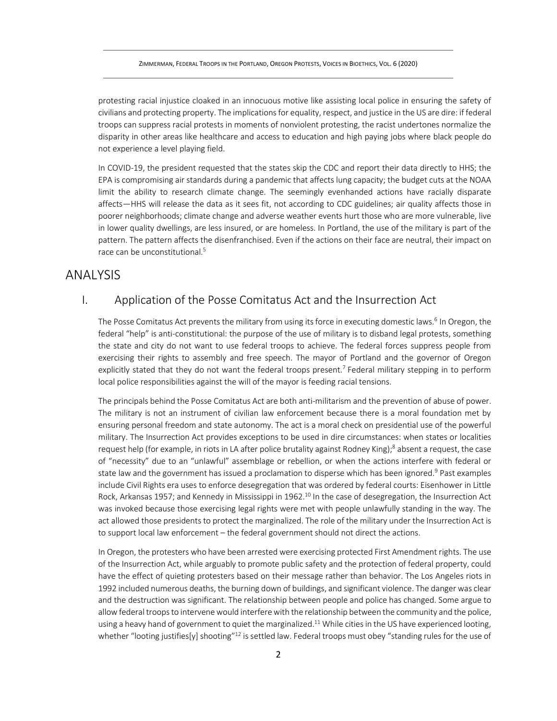protesting racial injustice cloaked in an innocuous motive like assisting local police in ensuring the safety of civilians and protecting property. The implications for equality, respect, and justice in the US are dire: if federal troops can suppress racial protests in moments of nonviolent protesting, the racist undertones normalize the disparity in other areas like healthcare and access to education and high paying jobs where black people do not experience a level playing field.

In COVID-19, the president requested that the states skip the CDC and report their data directly to HHS; the EPA is compromising air standards during a pandemic that affects lung capacity; the budget cuts at the NOAA limit the ability to research climate change. The seemingly evenhanded actions have racially disparate affects—HHS will release the data as it sees fit, not according to CDC guidelines; air quality affects those in poorer neighborhoods; climate change and adverse weather events hurt those who are more vulnerable, live in lower quality dwellings, are less insured, or are homeless. In Portland, the use of the military is part of the pattern. The pattern affects the disenfranchised. Even if the actions on their face are neutral, their impact on race can be unconstitutional.<sup>5</sup>

### ANALYSIS

### I. Application of the Posse Comitatus Act and the Insurrection Act

The Posse Comitatus Act prevents the military from using its force in executing domestic laws.<sup>6</sup> In Oregon, the federal "help" is anti-constitutional: the purpose of the use of military is to disband legal protests, something the state and city do not want to use federal troops to achieve. The federal forces suppress people from exercising their rights to assembly and free speech. The mayor of Portland and the governor of Oregon explicitly stated that they do not want the federal troops present.<sup>7</sup> Federal military stepping in to perform local police responsibilities against the will of the mayor is feeding racial tensions.

The principals behind the Posse Comitatus Act are both anti-militarism and the prevention of abuse of power. The military is not an instrument of civilian law enforcement because there is a moral foundation met by ensuring personal freedom and state autonomy. The act is a moral check on presidential use of the powerful military. The Insurrection Act provides exceptions to be used in dire circumstances: when states or localities request help (for example, in riots in LA after police brutality against Rodney King);<sup>8</sup> absent a request, the case of "necessity" due to an "unlawful" assemblage or rebellion, or when the actions interfere with federal or state law and the government has issued a proclamation to disperse which has been ignored.<sup>9</sup> Past examples include Civil Rights era uses to enforce desegregation that was ordered by federal courts: Eisenhower in Little Rock, Arkansas 1957; and Kennedy in Mississippi in 1962.<sup>10</sup> In the case of desegregation, the Insurrection Act was invoked because those exercising legal rights were met with people unlawfully standing in the way. The act allowed those presidents to protect the marginalized. The role of the military under the Insurrection Act is to support local law enforcement – the federal government should not direct the actions.

In Oregon, the protesters who have been arrested were exercising protected First Amendment rights. The use of the Insurrection Act, while arguably to promote public safety and the protection of federal property, could have the effect of quieting protesters based on their message rather than behavior. The Los Angeles riots in 1992 included numerous deaths, the burning down of buildings, and significant violence. The danger was clear and the destruction was significant. The relationship between people and police has changed. Some argue to allow federal troops to intervene would interfere with the relationship between the community and the police, using a heavy hand of government to quiet the marginalized.<sup>11</sup> While cities in the US have experienced looting, whether "looting justifies[y] shooting"<sup>12</sup> is settled law. Federal troops must obey "standing rules for the use of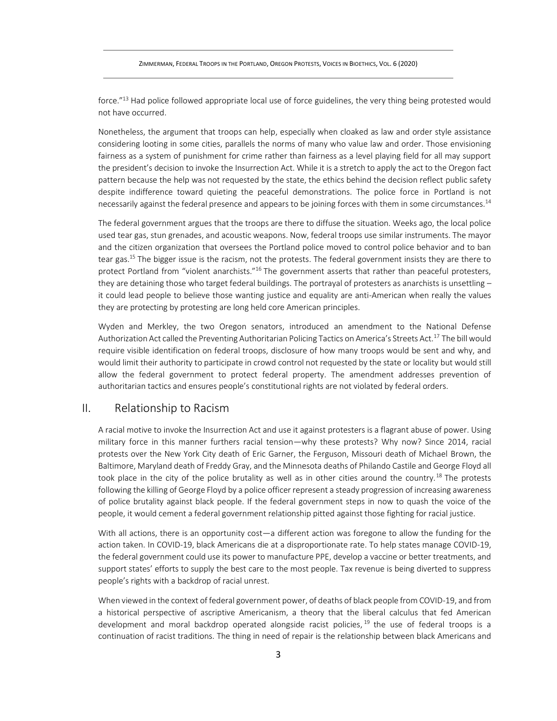force."<sup>13</sup> Had police followed appropriate local use of force guidelines, the very thing being protested would not have occurred.

Nonetheless, the argument that troops can help, especially when cloaked as law and order style assistance considering looting in some cities, parallels the norms of many who value law and order. Those envisioning fairness as a system of punishment for crime rather than fairness as a level playing field for all may support the president's decision to invoke the Insurrection Act. While it is a stretch to apply the act to the Oregon fact pattern because the help was not requested by the state, the ethics behind the decision reflect public safety despite indifference toward quieting the peaceful demonstrations. The police force in Portland is not necessarily against the federal presence and appears to be joining forces with them in some circumstances.<sup>14</sup>

The federal government argues that the troops are there to diffuse the situation. Weeks ago, the local police used tear gas, stun grenades, and acoustic weapons. Now, federal troops use similar instruments. The mayor and the citizen organization that oversees the Portland police moved to control police behavior and to ban tear gas.<sup>15</sup> The bigger issue is the racism, not the protests. The federal government insists they are there to protect Portland from "violent anarchists."<sup>16</sup> The government asserts that rather than peaceful protesters, they are detaining those who target federal buildings. The portrayal of protesters as anarchists is unsettling it could lead people to believe those wanting justice and equality are anti-American when really the values they are protecting by protesting are long held core American principles.

Wyden and Merkley, the two Oregon senators, introduced an amendment to the National Defense Authorization Act called the Preventing Authoritarian Policing Tactics on America's Streets Act.<sup>17</sup> The bill would require visible identification on federal troops, disclosure of how many troops would be sent and why, and would limit their authority to participate in crowd control not requested by the state or locality but would still allow the federal government to protect federal property. The amendment addresses prevention of authoritarian tactics and ensures people's constitutional rights are not violated by federal orders.

#### II. Relationship to Racism

A racial motive to invoke the Insurrection Act and use it against protesters is a flagrant abuse of power. Using military force in this manner furthers racial tension—why these protests? Why now? Since 2014, racial protests over the New York City death of Eric Garner, the Ferguson, Missouri death of Michael Brown, the Baltimore, Maryland death of Freddy Gray, and the Minnesota deaths of Philando Castile and George Floyd all took place in the city of the police brutality as well as in other cities around the country.<sup>18</sup> The protests following the killing of George Floyd by a police officer represent a steady progression of increasing awareness of police brutality against black people. If the federal government steps in now to quash the voice of the people, it would cement a federal government relationship pitted against those fighting for racial justice.

With all actions, there is an opportunity cost—a different action was foregone to allow the funding for the action taken. In COVID-19, black Americans die at a disproportionate rate. To help states manage COVID-19, the federal government could use its power to manufacture PPE, develop a vaccine or better treatments, and support states' efforts to supply the best care to the most people. Tax revenue is being diverted to suppress people's rights with a backdrop of racial unrest.

When viewed in the context of federal government power, of deaths of black people from COVID-19, and from a historical perspective of ascriptive Americanism, a theory that the liberal calculus that fed American development and moral backdrop operated alongside racist policies, <sup>19</sup> the use of federal troops is a continuation of racist traditions. The thing in need of repair is the relationship between black Americans and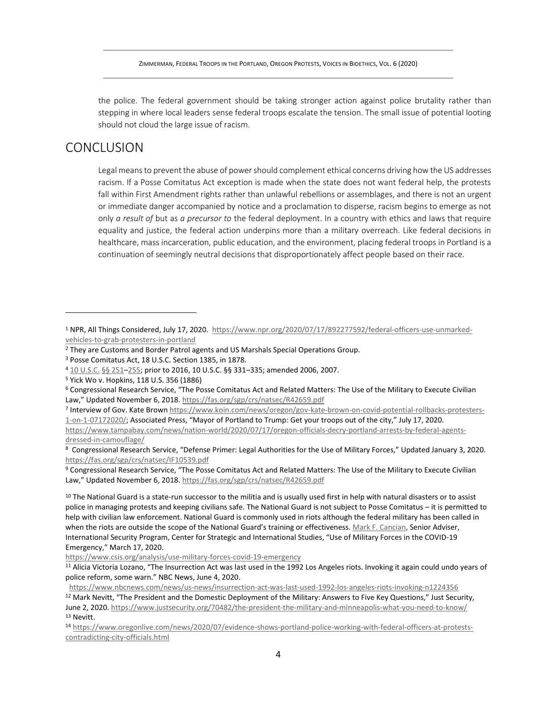the police. The federal government should be taking stronger action against police brutality rather than stepping in where local leaders sense federal troops escalate the tension. The small issue of potential looting should not cloud the large issue of racism.

## **CONCLUSION**

Legal means to prevent the abuse of power should complement ethical concerns driving how the US addresses racism. If a Posse Comitatus Act exception is made when the state does not want federal help, the protests fall within First Amendment rights rather than unlawful rebellions or assemblages, and there is not an urgent or immediate danger accompanied by notice and a proclamation to disperse, racism begins to emerge as not only *a result of* but as *a precursor to* the federal deployment. In a country with ethics and laws that require equality and justice, the federal action underpins more than a military overreach. Like federal decisions in healthcare, mass incarceration, public education, and the environment, placing federal troops in Portland is a continuation of seemingly neutral decisions that disproportionately affect people based on their race.

<sup>1</sup> NPR, All Things Considered, July 17, 2020. [https://www.npr.org/2020/07/17/892277592/federal-officers-use-unmarked](https://www.npr.org/2020/07/17/892277592/federal-officers-use-unmarked-vehicles-to-grab-protesters-in-portland)[vehicles-to-grab-protesters-in-portland](https://www.npr.org/2020/07/17/892277592/federal-officers-use-unmarked-vehicles-to-grab-protesters-in-portland)

<sup>2</sup> They are Customs and Border Patrol agents and US Marshals Special Operations Group.

<sup>3</sup> Posse Comitatus Act, 18 U.S.C. Section 1385, in 1878.

<sup>4</sup> 10 [U.S.C.](https://en.wikipedia.org/wiki/Title_10_of_the_United_States_Code) §§ [251](https://www.law.cornell.edu/uscode/text/10/251)–[255;](https://www.law.cornell.edu/uscode/text/10/255) prior to 2016, 10 U.S.C. §§ 331–335; amended 2006, 2007.

<sup>5</sup> Yick Wo v. Hopkins, 118 U.S. 356 (1886)

<sup>6</sup> Congressional Research Service, "The Posse Comitatus Act and Related Matters: The Use of the Military to Execute Civilian Law," Updated November 6, 2018. <https://fas.org/sgp/crs/natsec/R42659.pdf>

<sup>&</sup>lt;sup>7</sup> Interview of Gov. Kate Brow[n https://www.koin.com/news/oregon/gov-kate-brown-on-covid-potential-rollbacks-protesters-](https://www.koin.com/news/oregon/gov-kate-brown-on-covid-potential-rollbacks-protesters-1-on-1-07172020/)[1-on-1-07172020/](https://www.koin.com/news/oregon/gov-kate-brown-on-covid-potential-rollbacks-protesters-1-on-1-07172020/); Associated Press, "Mayor of Portland to Trump: Get your troops out of the city," July 17, 2020. [https://www.tampabay.com/news/nation-world/2020/07/17/oregon-officials-decry-portland-arrests-by-federal-agents](https://www.tampabay.com/news/nation-world/2020/07/17/oregon-officials-decry-portland-arrests-by-federal-agents-dressed-in-camouflage/)[dressed-in-camouflage/](https://www.tampabay.com/news/nation-world/2020/07/17/oregon-officials-decry-portland-arrests-by-federal-agents-dressed-in-camouflage/)

<sup>8</sup> Congressional Research Service, "Defense Primer: Legal Authorities for the Use of Military Forces," Updated January 3, 2020. <https://fas.org/sgp/crs/natsec/IF10539.pdf>

<sup>9</sup> Congressional Research Service, "The Posse Comitatus Act and Related Matters: The Use of the Military to Execute Civilian Law," Updated November 6, 2018. <https://fas.org/sgp/crs/natsec/R42659.pdf>

 $10$  The National Guard is a state-run successor to the militia and is usually used first in help with natural disasters or to assist police in managing protests and keeping civilians safe. The National Guard is not subject to Posse Comitatus – it is permitted to help with civilian law enforcement. National Guard is commonly used in riots although the federal military has been called in when the riots are outside the scope of the National Guard's training or effectiveness. [Mark F. Cancian,](https://www.csis.org/people/mark-f-cancian) Senior Adviser, International Security Program, Center for Strategic and International Studies, "Use of Military Forces in the COVID-19 Emergency," March 17, 2020.

<https://www.csis.org/analysis/use-military-forces-covid-19-emergency>

<sup>&</sup>lt;sup>11</sup> Alicia Victoria Lozano, "The Insurrection Act was last used in the 1992 Los Angeles riots. Invoking it again could undo years of police reform, some warn." NBC News, June 4, 2020.

<https://www.nbcnews.com/news/us-news/insurrection-act-was-last-used-1992-los-angeles-riots-invoking-n1224356>

<sup>12</sup> Mark Nevitt, "The President and the Domestic Deployment of the Military: Answers to Five Key Questions," Just Security, June 2, 2020[. https://www.justsecurity.org/70482/the-president-the-military-and-minneapolis-what-you-need-to-know/](https://www.justsecurity.org/70482/the-president-the-military-and-minneapolis-what-you-need-to-know/) <sup>13</sup> Nevitt.

<sup>14</sup> [https://www.oregonlive.com/news/2020/07/evidence-shows-portland-police-working-with-federal-officers-at-protests](https://www.oregonlive.com/news/2020/07/evidence-shows-portland-police-working-with-federal-officers-at-protests-contradicting-city-officials.html)[contradicting-city-officials.html](https://www.oregonlive.com/news/2020/07/evidence-shows-portland-police-working-with-federal-officers-at-protests-contradicting-city-officials.html)